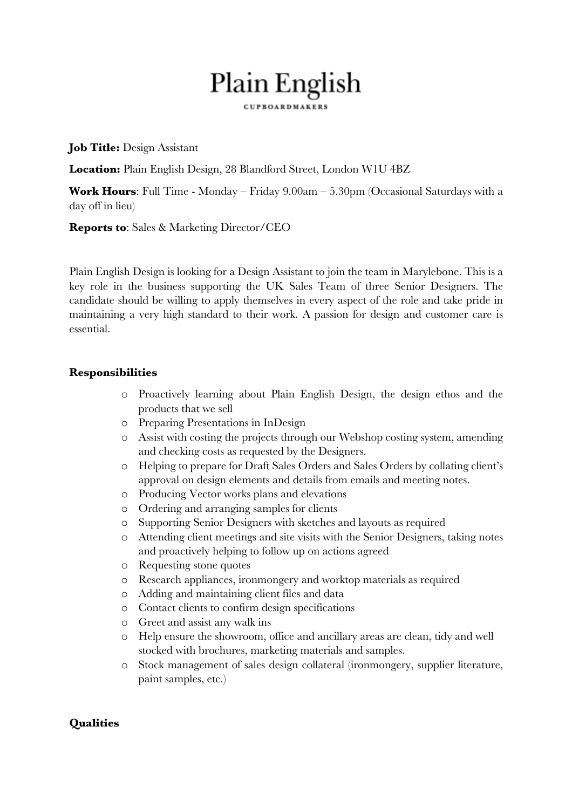# Plain English **CUPROARDMAKERS**

**Job Title:** Design Assistant

**Location:** Plain English Design, 28 Blandford Street, London W1U 4BZ

**Work Hours**: Full Time - Monday – Friday 9.00am – 5.30pm (Occasional Saturdays with a day off in lieu)

**Reports to**: Sales & Marketing Director/CEO

Plain English Design is looking for a Design Assistant to join the team in Marylebone. This is a key role in the business supporting the UK Sales Team of three Senior Designers. The candidate should be willing to apply themselves in every aspect of the role and take pride in maintaining a very high standard to their work. A passion for design and customer care is essential.

#### **Responsibilities**

- o Proactively learning about Plain English Design, the design ethos and the products that we sell
- o Preparing Presentations in InDesign
- o Assist with costing the projects through our Webshop costing system, amending and checking costs as requested by the Designers.
- o Helping to prepare for Draft Sales Orders and Sales Orders by collating client's approval on design elements and details from emails and meeting notes.
- o Producing Vector works plans and elevations
- o Ordering and arranging samples for clients
- o Supporting Senior Designers with sketches and layouts as required
- o Attending client meetings and site visits with the Senior Designers, taking notes and proactively helping to follow up on actions agreed
- o Requesting stone quotes
- o Research appliances, ironmongery and worktop materials as required
- o Adding and maintaining client files and data
- o Contact clients to confirm design specifications
- o Greet and assist any walk ins
- o Help ensure the showroom, office and ancillary areas are clean, tidy and well stocked with brochures, marketing materials and samples.
- o Stock management of sales design collateral (ironmongery, supplier literature, paint samples, etc.)

## **Qualities**